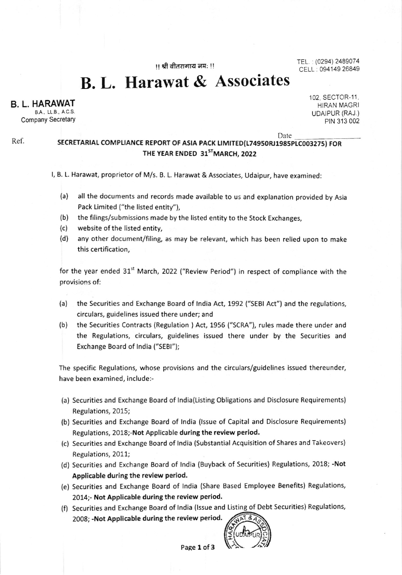11 श्री वीतरागाय नम: !!

TEL. : (0294) 2489074 CELL: 094149 26849

B. L. Harawat & Associates

B. L. HARAWAT

Ref.

8A. LL B. A C,S, Company Secretary 102, SECTOR-11, HIRAN MAGRI UDAIPUR (RAJ,) PIN 313 002

Date

## SECRETARIAL COMPLIANCE REPORT OF ASIA PACK LIMITED(L74950RJ1985PLC003275) FOR THE YEAR ENDED 31<sup>ST</sup>MARCH, 2022

l, B. L. Harawat, proprietor of M/s. 8. L. Harawat & Associates, Udaipur, have examined:

- (a) all the documents and records made available to us and explanation provided by Asia Pack Limited ("the listed entity"),
- (b) the filings/submissions made by the listed entity to the Stock Exchanges,
- (c) website of the listed entity,
- (d) any other document/filing, as may be relevant, which has been relied upon to make this certification,

for the year ended 31<sup>st</sup> March, 2022 ("Review Period") in respect of compliance with the provisions of:

- (a) the Securities and Exchange Board of lndia Act, 1992 ("SEBI Act") and the regulations, circulars, guidelines issued there under; and
- (b) the Securities Contracts (Regulation ) Act, 1956 ("SCRA"), rules made there under and the Regulations, circulars, guidelines issued there under by the Securities and Exchange Board of lndia ("SEBl");

The specific Regulations, whose provisions and the circulars/guidelines issued thereunder, have been examined, include:-

- (a) Securities and Exchange Board of lndia(Listing Obligations and Disclosure Requirements) Regulations,2015;
- (b) Securities and Exchange Board of lndia (lssue of Capital and Disclosure Requirements) Regulations, 2018;-Not Applicable during the review period.
- (c) Securities and Exchange Board of lndia (Substantial Acquisition of Shares and Takeovers) Regulations, 2011;
- (d) Securities and Exchange Board of lndia (Buyback of Securities) Regulations, 2018; -Not Applicable during the review period.
- (e) Securities and Exchange Board of lndia (Share Based Employee Benefits) Regulations, 2014;- Not Applicable during the review period.
- (f) Securities and Exchange Board of India (Issue and Listing of Debt Securities) Regulations, 2008: -Not Applicable during the review period.

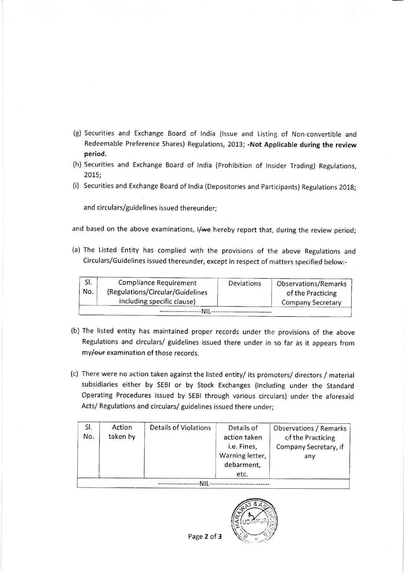- (g) Securities and Exchange Board of lndia (lssue and Listing of Non-convertible and Redeemable Preference Shares) Regulations, 2013; -Not Applicable during the review period.
- (h) Securities and Exchange Board of lndia (prohibition of tnsider Trading) Regulations, 2015;
- (i) securities and Exchange Board of lndia (Depositories and participants) Regulations 2018;

and circulars/guidelines issued thereunder;

and based on the above examinations, I/we hereby report that, during the review period;

(a) The Listed Entity has complied with the provisions of the above Regulations and Circulars/Guidelines issued thereunder, except in respect of matters specified below:-

| SI. | <b>Compliance Requirement</b>    | Deviations | Observations/Remarks     |  |  |  |  |
|-----|----------------------------------|------------|--------------------------|--|--|--|--|
| No. | (Regulations/Circular/Guidelines |            | of the Practicing        |  |  |  |  |
|     | including specific clause)       |            | <b>Company Secretary</b> |  |  |  |  |
|     |                                  |            |                          |  |  |  |  |

- (b) The listed entity has maintained proper records under the provisions of the above Regulations and circulars/ guidelines issued there under in so far as it appears from my/our examination of those records.
- (c) There were no action taken against the llsted entity/ its promoters/ directors / material subsidiaries either by SEBI or by Stock Exchanges (including under the Standard Operating Procedures issued by SEBI through various circulars) under the aforesaid Acts/ Regulations and circulars/ guidelines issued there under;

| SI. | Action   | Details of Violations | Details of      | Observations / Remarks |  |  |  |  |
|-----|----------|-----------------------|-----------------|------------------------|--|--|--|--|
| No. | taken by |                       | action taken    | of the Practicing      |  |  |  |  |
|     |          |                       | i.e. Fines,     | Company Secretary, if  |  |  |  |  |
|     |          |                       | Warning letter, | any                    |  |  |  |  |
|     |          |                       | debarment,      |                        |  |  |  |  |
|     |          |                       | etc.            |                        |  |  |  |  |
|     |          |                       |                 |                        |  |  |  |  |